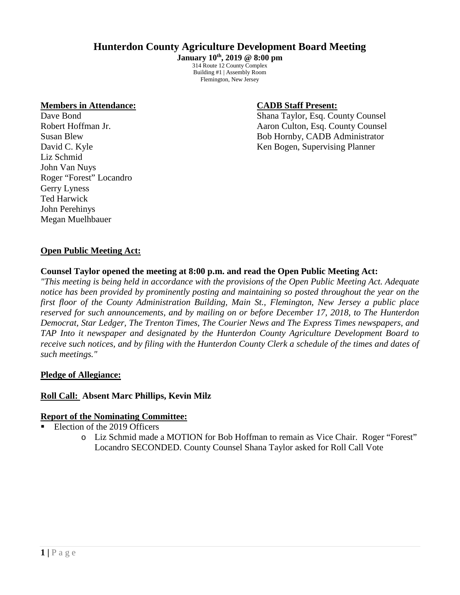# **Hunterdon County Agriculture Development Board Meeting**

**January 10th, 2019 @ 8:00 pm** 314 Route 12 County Complex Building #1 | Assembly Room Flemington, New Jersey

### **Members in Attendance: CADB Staff Present:**

Liz Schmid John Van Nuys Roger "Forest" Locandro Gerry Lyness Ted Harwick John Perehinys Megan Muelhbauer

Dave Bond Shana Taylor, Esq. County Counsel Robert Hoffman Jr. **All School Accounty Counsel** Aaron Culton, Esq. County Counsel Susan Blew Bob Hornby, CADB Administrator David C. Kyle Ken Bogen, Supervising Planner

# **Open Public Meeting Act:**

## **Counsel Taylor opened the meeting at 8:00 p.m. and read the Open Public Meeting Act:**

*"This meeting is being held in accordance with the provisions of the Open Public Meeting Act. Adequate notice has been provided by prominently posting and maintaining so posted throughout the year on the first floor of the County Administration Building, Main St., Flemington, New Jersey a public place reserved for such announcements, and by mailing on or before December 17, 2018, to The Hunterdon Democrat, Star Ledger, The Trenton Times, The Courier News and The Express Times newspapers, and TAP Into it newspaper and designated by the Hunterdon County Agriculture Development Board to receive such notices, and by filing with the Hunterdon County Clerk a schedule of the times and dates of such meetings."*

## **Pledge of Allegiance:**

## **Roll Call: Absent Marc Phillips, Kevin Milz**

#### **Report of the Nominating Committee:**

- Election of the 2019 Officers
	- o Liz Schmid made a MOTION for Bob Hoffman to remain as Vice Chair. Roger "Forest" Locandro SECONDED. County Counsel Shana Taylor asked for Roll Call Vote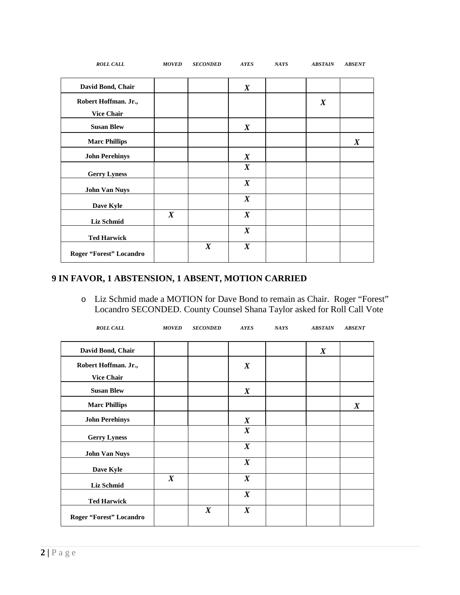| <b>ROLL CALL</b>                          | <b>MOVED</b>     | <b>SECONDED</b>  | <b>AYES</b>      | <b>NAYS</b> | <b>ABSTAIN</b>   | <b>ABSENT</b>    |
|-------------------------------------------|------------------|------------------|------------------|-------------|------------------|------------------|
| David Bond, Chair                         |                  |                  | $\boldsymbol{X}$ |             |                  |                  |
| Robert Hoffman. Jr.,<br><b>Vice Chair</b> |                  |                  |                  |             | $\boldsymbol{X}$ |                  |
| <b>Susan Blew</b>                         |                  |                  | $\boldsymbol{X}$ |             |                  |                  |
| <b>Marc Phillips</b>                      |                  |                  |                  |             |                  | $\boldsymbol{X}$ |
| <b>John Perehinys</b>                     |                  |                  | $\boldsymbol{X}$ |             |                  |                  |
| <b>Gerry Lyness</b>                       |                  |                  | $\boldsymbol{X}$ |             |                  |                  |
| <b>John Van Nuys</b>                      |                  |                  | $\boldsymbol{X}$ |             |                  |                  |
| Dave Kyle                                 |                  |                  | $\boldsymbol{X}$ |             |                  |                  |
| Liz Schmid                                | $\boldsymbol{X}$ |                  | $\boldsymbol{X}$ |             |                  |                  |
| <b>Ted Harwick</b>                        |                  |                  | $\boldsymbol{X}$ |             |                  |                  |
| Roger "Forest" Locandro                   |                  | $\boldsymbol{X}$ | $\boldsymbol{X}$ |             |                  |                  |

# **9 IN FAVOR, 1 ABSTENSION, 1 ABSENT, MOTION CARRIED**

o Liz Schmid made a MOTION for Dave Bond to remain as Chair. Roger "Forest" Locandro SECONDED. County Counsel Shana Taylor asked for Roll Call Vote

| <b>ROLL CALL</b>                       | <b>MOVED</b>     | <b>SECONDED</b>  | <b>AYES</b>      | <b>NAYS</b> | <b>ABSTAIN</b>   | <b>ABSENT</b>    |
|----------------------------------------|------------------|------------------|------------------|-------------|------------------|------------------|
| David Bond, Chair                      |                  |                  |                  |             | $\boldsymbol{X}$ |                  |
| Robert Hoffman. Jr.,                   |                  |                  | $\boldsymbol{X}$ |             |                  |                  |
| <b>Vice Chair</b><br><b>Susan Blew</b> |                  |                  | $\boldsymbol{X}$ |             |                  |                  |
| <b>Marc Phillips</b>                   |                  |                  |                  |             |                  | $\boldsymbol{X}$ |
| <b>John Perehinys</b>                  |                  |                  | $\boldsymbol{X}$ |             |                  |                  |
| <b>Gerry Lyness</b>                    |                  |                  | $\boldsymbol{X}$ |             |                  |                  |
| <b>John Van Nuys</b>                   |                  |                  | $\boldsymbol{X}$ |             |                  |                  |
| Dave Kyle                              |                  |                  | $\boldsymbol{X}$ |             |                  |                  |
| <b>Liz Schmid</b>                      | $\boldsymbol{X}$ |                  | $\boldsymbol{X}$ |             |                  |                  |
| <b>Ted Harwick</b>                     |                  |                  | $\boldsymbol{X}$ |             |                  |                  |
| Roger "Forest" Locandro                |                  | $\boldsymbol{X}$ | $\boldsymbol{X}$ |             |                  |                  |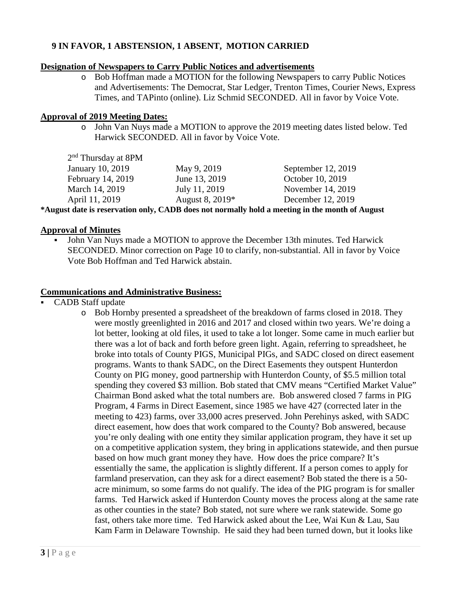# **9 IN FAVOR, 1 ABSTENSION, 1 ABSENT, MOTION CARRIED**

## **Designation of Newspapers to Carry Public Notices and advertisements**

o Bob Hoffman made a MOTION for the following Newspapers to carry Public Notices and Advertisements: The Democrat, Star Ledger, Trenton Times, Courier News, Express Times, and TAPinto (online). Liz Schmid SECONDED. All in favor by Voice Vote.

## **Approval of 2019 Meeting Dates:**

o John Van Nuys made a MOTION to approve the 2019 meeting dates listed below. Ted Harwick SECONDED. All in favor by Voice Vote.

| $2nd$ Thursday at 8PM   |                 |                    |
|-------------------------|-----------------|--------------------|
| <b>January 10, 2019</b> | May 9, 2019     | September 12, 2019 |
| February 14, 2019       | June 13, 2019   | October 10, 2019   |
| March 14, 2019          | July 11, 2019   | November 14, 2019  |
| April 11, 2019          | August 8, 2019* | December 12, 2019  |
|                         |                 |                    |

**\*August date is reservation only, CADB does not normally hold a meeting in the month of August**

## **Approval of Minutes**

 John Van Nuys made a MOTION to approve the December 13th minutes. Ted Harwick SECONDED. Minor correction on Page 10 to clarify, non-substantial. All in favor by Voice Vote Bob Hoffman and Ted Harwick abstain.

## **Communications and Administrative Business:**

- CADB Staff update
	- o Bob Hornby presented a spreadsheet of the breakdown of farms closed in 2018. They were mostly greenlighted in 2016 and 2017 and closed within two years. We're doing a lot better, looking at old files, it used to take a lot longer. Some came in much earlier but there was a lot of back and forth before green light. Again, referring to spreadsheet, he broke into totals of County PIGS, Municipal PIGs, and SADC closed on direct easement programs. Wants to thank SADC, on the Direct Easements they outspent Hunterdon County on PIG money, good partnership with Hunterdon County, of \$5.5 million total spending they covered \$3 million. Bob stated that CMV means "Certified Market Value" Chairman Bond asked what the total numbers are. Bob answered closed 7 farms in PIG Program, 4 Farms in Direct Easement, since 1985 we have 427 (corrected later in the meeting to 423) farms, over 33,000 acres preserved. John Perehinys asked, with SADC direct easement, how does that work compared to the County? Bob answered, because you're only dealing with one entity they similar application program, they have it set up on a competitive application system, they bring in applications statewide, and then pursue based on how much grant money they have. How does the price compare? It's essentially the same, the application is slightly different. If a person comes to apply for farmland preservation, can they ask for a direct easement? Bob stated the there is a 50 acre minimum, so some farms do not qualify. The idea of the PIG program is for smaller farms. Ted Harwick asked if Hunterdon County moves the process along at the same rate as other counties in the state? Bob stated, not sure where we rank statewide. Some go fast, others take more time. Ted Harwick asked about the Lee, Wai Kun & Lau, Sau Kam Farm in Delaware Township. He said they had been turned down, but it looks like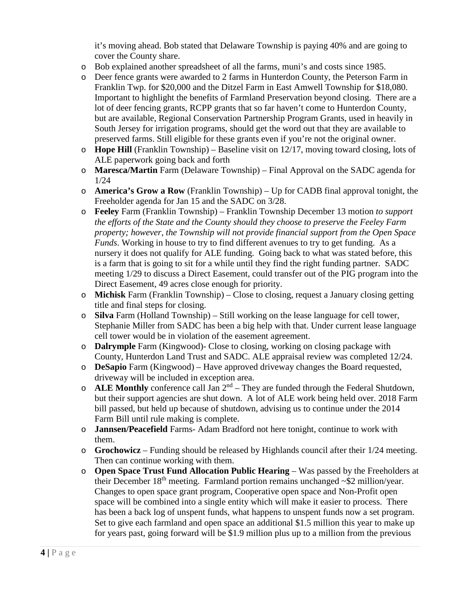it's moving ahead. Bob stated that Delaware Township is paying 40% and are going to cover the County share.

- o Bob explained another spreadsheet of all the farms, muni's and costs since 1985.
- o Deer fence grants were awarded to 2 farms in Hunterdon County, the Peterson Farm in Franklin Twp. for \$20,000 and the Ditzel Farm in East Amwell Township for \$18,080. Important to highlight the benefits of Farmland Preservation beyond closing. There are a lot of deer fencing grants, RCPP grants that so far haven't come to Hunterdon County, but are available, Regional Conservation Partnership Program Grants, used in heavily in South Jersey for irrigation programs, should get the word out that they are available to preserved farms. Still eligible for these grants even if you're not the original owner.
- o **Hope Hill** (Franklin Township) Baseline visit on 12/17, moving toward closing, lots of ALE paperwork going back and forth
- o **Maresca/Martin** Farm (Delaware Township) Final Approval on the SADC agenda for 1/24
- o **America's Grow a Row** (Franklin Township) Up for CADB final approval tonight, the Freeholder agenda for Jan 15 and the SADC on 3/28.
- o **Feeley** Farm (Franklin Township) Franklin Township December 13 motion *to support the efforts of the State and the County should they choose to preserve the Feeley Farm property; however, the Township will not provide financial support from the Open Space Funds*. Working in house to try to find different avenues to try to get funding. As a nursery it does not qualify for ALE funding. Going back to what was stated before, this is a farm that is going to sit for a while until they find the right funding partner. SADC meeting 1/29 to discuss a Direct Easement, could transfer out of the PIG program into the Direct Easement, 49 acres close enough for priority.
- o **Michisk** Farm (Franklin Township) Close to closing, request a January closing getting title and final steps for closing.
- o **Silva** Farm (Holland Township) Still working on the lease language for cell tower, Stephanie Miller from SADC has been a big help with that. Under current lease language cell tower would be in violation of the easement agreement.
- o **Dalrymple** Farm (Kingwood)- Close to closing, working on closing package with County, Hunterdon Land Trust and SADC. ALE appraisal review was completed 12/24.
- o **DeSapio** Farm (Kingwood) Have approved driveway changes the Board requested, driveway will be included in exception area.
- $\circ$  **ALE Monthly** conference call Jan  $2^{nd}$  They are funded through the Federal Shutdown, but their support agencies are shut down. A lot of ALE work being held over. 2018 Farm bill passed, but held up because of shutdown, advising us to continue under the 2014 Farm Bill until rule making is complete.
- o **Jannsen/Peacefield** Farms- Adam Bradford not here tonight, continue to work with them.
- o **Grochowicz** Funding should be released by Highlands council after their 1/24 meeting. Then can continue working with them.
- o **Open Space Trust Fund Allocation Public Hearing** Was passed by the Freeholders at their December 18<sup>th</sup> meeting. Farmland portion remains unchanged  $\sim$ \$2 million/year. Changes to open space grant program, Cooperative open space and Non-Profit open space will be combined into a single entity which will make it easier to process. There has been a back log of unspent funds, what happens to unspent funds now a set program. Set to give each farmland and open space an additional \$1.5 million this year to make up for years past, going forward will be \$1.9 million plus up to a million from the previous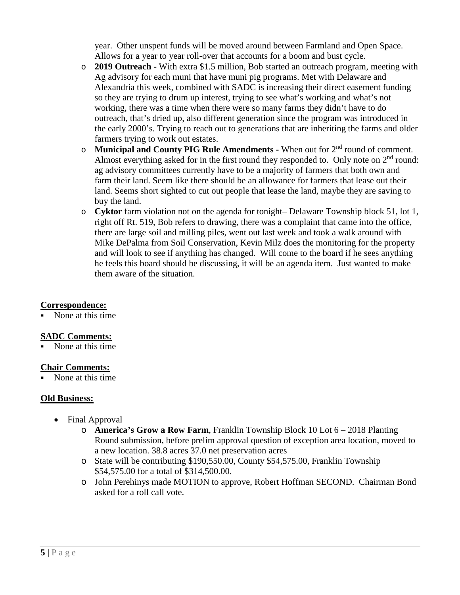year. Other unspent funds will be moved around between Farmland and Open Space. Allows for a year to year roll-over that accounts for a boom and bust cycle.

- o **2019 Outreach -** With extra \$1.5 million, Bob started an outreach program, meeting with Ag advisory for each muni that have muni pig programs. Met with Delaware and Alexandria this week, combined with SADC is increasing their direct easement funding so they are trying to drum up interest, trying to see what's working and what's not working, there was a time when there were so many farms they didn't have to do outreach, that's dried up, also different generation since the program was introduced in the early 2000's. Trying to reach out to generations that are inheriting the farms and older farmers trying to work out estates.
- o **Municipal and County PIG Rule Amendments -** When out for 2nd round of comment. Almost everything asked for in the first round they responded to. Only note on  $2<sup>nd</sup>$  round: ag advisory committees currently have to be a majority of farmers that both own and farm their land. Seem like there should be an allowance for farmers that lease out their land. Seems short sighted to cut out people that lease the land, maybe they are saving to buy the land.
- o **Cyktor** farm violation not on the agenda for tonight– Delaware Township block 51, lot 1, right off Rt. 519, Bob refers to drawing, there was a complaint that came into the office, there are large soil and milling piles, went out last week and took a walk around with Mike DePalma from Soil Conservation, Kevin Milz does the monitoring for the property and will look to see if anything has changed. Will come to the board if he sees anything he feels this board should be discussing, it will be an agenda item. Just wanted to make them aware of the situation.

# **Correspondence:**

None at this time

# **SADC Comments:**

None at this time

# **Chair Comments:**

None at this time

# **Old Business:**

- Final Approval
	- o **America's Grow a Row Farm**, Franklin Township Block 10 Lot 6 2018 Planting Round submission, before prelim approval question of exception area location, moved to a new location. 38.8 acres 37.0 net preservation acres
	- o State will be contributing \$190,550.00, County \$54,575.00, Franklin Township \$54,575.00 for a total of \$314,500.00.
	- o John Perehinys made MOTION to approve, Robert Hoffman SECOND. Chairman Bond asked for a roll call vote.